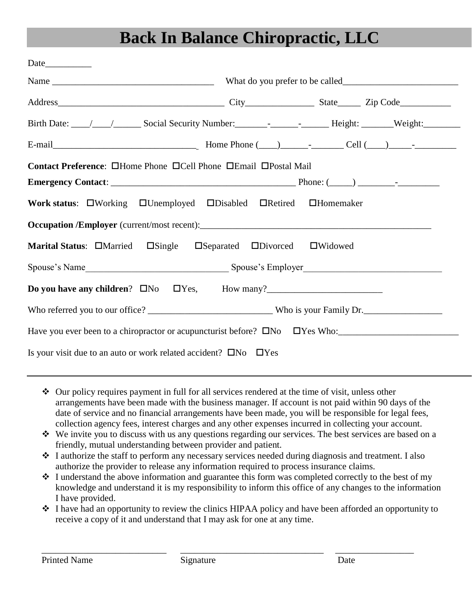# **Back In Balance Chiropractic, LLC**

| Contact Preference: <b>OHome Phone OCell Phone OEmail OPostal Mail</b>                        |                  |  |
|-----------------------------------------------------------------------------------------------|------------------|--|
|                                                                                               |                  |  |
| Work status: UWorking UUnemployed UDisabled URetired                                          | $\Box$ Homemaker |  |
|                                                                                               |                  |  |
| Marital Status: <b>OMarried OSingle OSeparated ODivorced OWidowed</b>                         |                  |  |
|                                                                                               |                  |  |
|                                                                                               |                  |  |
|                                                                                               |                  |  |
| Have you ever been to a chiropractor or acupuncturist before? $\square$ No $\square$ Yes Who: |                  |  |
| Is your visit due to an auto or work related accident? $\square$ No $\square$ Yes             |                  |  |

- Our policy requires payment in full for all services rendered at the time of visit, unless other arrangements have been made with the business manager. If account is not paid within 90 days of the date of service and no financial arrangements have been made, you will be responsible for legal fees, collection agency fees, interest charges and any other expenses incurred in collecting your account.
- We invite you to discuss with us any questions regarding our services. The best services are based on a friendly, mutual understanding between provider and patient.
- $\div$  I authorize the staff to perform any necessary services needed during diagnosis and treatment. I also authorize the provider to release any information required to process insurance claims.
- $\div$  I understand the above information and guarantee this form was completed correctly to the best of my knowledge and understand it is my responsibility to inform this office of any changes to the information I have provided.
- I have had an opportunity to review the clinics HIPAA policy and have been afforded an opportunity to receive a copy of it and understand that I may ask for one at any time.

\_\_\_\_\_\_\_\_\_\_\_\_\_\_\_\_\_\_\_\_\_\_\_\_\_\_\_ \_\_\_\_\_\_\_\_\_\_\_\_\_\_\_\_\_\_\_\_\_\_\_\_\_\_\_\_\_\_\_ \_\_\_\_\_\_\_\_\_\_\_\_\_\_\_\_\_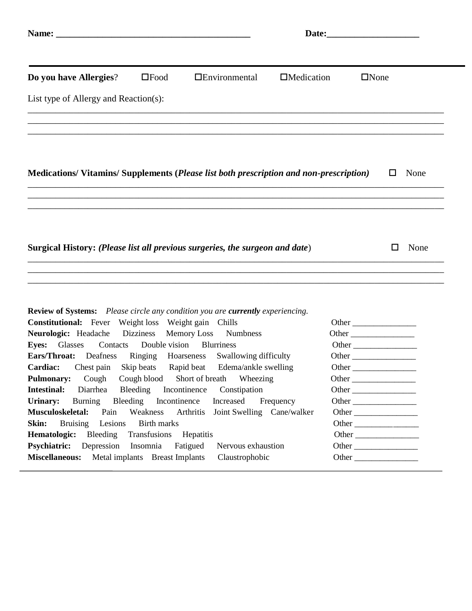| Do you have Allergies?                                                                                                                                                                         | $\square$ Food                                                                                | $\Box$ Environmental                                                                                                                                                    | $\Box$ Medication                           | $\Box$ None                                      |  |  |  |  |  |
|------------------------------------------------------------------------------------------------------------------------------------------------------------------------------------------------|-----------------------------------------------------------------------------------------------|-------------------------------------------------------------------------------------------------------------------------------------------------------------------------|---------------------------------------------|--------------------------------------------------|--|--|--|--|--|
| List type of Allergy and Reaction(s):                                                                                                                                                          |                                                                                               |                                                                                                                                                                         |                                             |                                                  |  |  |  |  |  |
| Medications/Vitamins/Supplements (Please list both prescription and non-prescription)                                                                                                          |                                                                                               |                                                                                                                                                                         |                                             | None<br>□                                        |  |  |  |  |  |
| Surgical History: (Please list all previous surgeries, the surgeon and date)                                                                                                                   |                                                                                               |                                                                                                                                                                         |                                             | None<br>$\Box$                                   |  |  |  |  |  |
| <b>Review of Systems:</b> Please circle any condition you are <b>currently</b> experiencing.<br><b>Constitutional:</b> Fever Weight loss Weight gain Chills<br>Neurologic: Headache            | Dizziness                                                                                     | <b>Memory Loss</b><br><b>Numbness</b>                                                                                                                                   |                                             | Other                                            |  |  |  |  |  |
| Glasses<br>Contacts<br><b>Eyes:</b><br><b>Ears/Throat:</b><br>Deafness<br>Chest pain<br>Cardiac:<br>Cough<br><b>Pulmonary:</b><br><b>Intestinal:</b><br>Diarrhea<br>Urinary:<br><b>Burning</b> | Double vision<br>Ringing<br>Skip beats<br>Cough blood<br>Bleeding<br>Bleeding<br>Incontinence | <b>Blurriness</b><br>Swallowing difficulty<br>Hoarseness<br>Rapid beat<br>Edema/ankle swelling<br>Short of breath Wheezing<br>Incontinence<br>Constipation<br>Increased | Other $\overline{\phantom{a}}$<br>Frequency | Other<br>Other<br>Other                          |  |  |  |  |  |
| Musculoskeletal:<br>Pain<br>Skin:<br>Lesions<br><b>Bruising</b><br>Hematologic:<br>Bleeding<br><b>Psychiatric:</b><br>Depression<br><b>Miscellaneous:</b>                                      | Weakness<br><b>Birth marks</b><br>Transfusions<br>Insomnia<br>Metal implants Breast Implants  | Arthritis<br>Joint Swelling Cane/walker<br>Hepatitis<br>Fatigued<br>Nervous exhaustion<br>Claustrophobic                                                                |                                             | Other<br>Other _______________<br>Other<br>Other |  |  |  |  |  |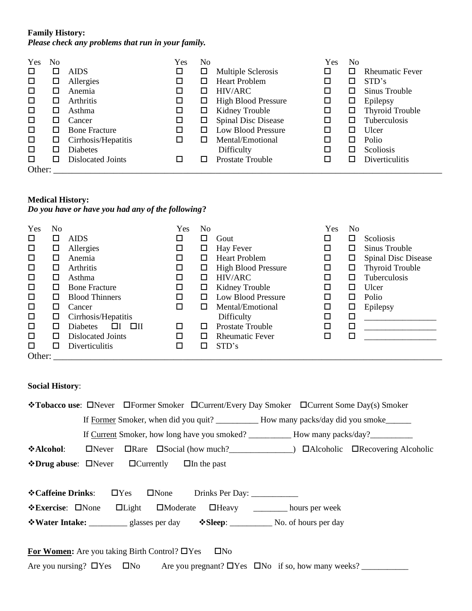#### **Family History:**

*Please check any problems that run in your family.*

| Yes    | No |                      | Yes    | No     |                            | Yes    | No |                        |
|--------|----|----------------------|--------|--------|----------------------------|--------|----|------------------------|
| □      | ப  | <b>AIDS</b>          | $\Box$ | ப      | Multiple Sclerosis         |        | □  | <b>Rheumatic Fever</b> |
| □      | ப  | Allergies            | $\Box$ | ப      | <b>Heart Problem</b>       | □      | □  | STD's                  |
| □      |    | Anemia               | $\Box$ | ⊔      | HIV/ARC                    |        | □  | Sinus Trouble          |
| □      |    | Arthritis            | □      | ப      | <b>High Blood Pressure</b> | □      | □  | Epilepsy               |
| □      | ப  | Asthma               | □      | ப      | Kidney Trouble             | □      | □  | <b>Thyroid Trouble</b> |
| □      | LΙ | Cancer               | □      | $\Box$ | <b>Spinal Disc Disease</b> | $\Box$ | □  | Tuberculosis           |
| □      | ΙI | <b>Bone Fracture</b> | □      | □      | <b>Low Blood Pressure</b>  | □      | □  | Ulcer                  |
| □      | ப  | Cirrhosis/Hepatitis  |        | □      | Mental/Emotional           | □      | □  | Polio                  |
| □      | LΙ | <b>Diabetes</b>      |        |        | Difficulty                 |        | □  | <b>Scoliosis</b>       |
| □      | LΙ | Dislocated Joints    |        | ΙI     | <b>Prostate Trouble</b>    |        | П  | Diverticulitis         |
| Other: |    |                      |        |        |                            |        |    |                        |

#### **Medical History:**

*Do you have or have you had any of the following***?**

| Yes    | No           |                                 | Yes | No           |                            | Yes | No |                        |
|--------|--------------|---------------------------------|-----|--------------|----------------------------|-----|----|------------------------|
| □      | ப            | <b>AIDS</b>                     |     | □            | Gout                       | □   | ப  | Scoliosis              |
| □      | ப            | Allergies                       | □   | ப            | Hay Fever                  | □   | ப  | Sinus Trouble          |
| $\Box$ | □            | Anemia                          |     |              | <b>Heart Problem</b>       | □   | □  | Spinal Disc Disease    |
| □      | ப            | Arthritis                       | □   | ப            | <b>High Blood Pressure</b> | □   | ப  | <b>Thyroid Trouble</b> |
| □      | ப            | Asthma                          | □   | ப            | HIV/ARC                    | □   | ப  | Tuberculosis           |
| □      | □            | <b>Bone Fracture</b>            | □   | □            | Kidney Trouble             | □   | ப  | Ulcer                  |
| □      | □            | <b>Blood Thinners</b>           | □   | □            | <b>Low Blood Pressure</b>  | □   | ப  | Polio                  |
| □      | LΙ           | Cancer                          |     | ΙI           | Mental/Emotional           | □   | ப  | Epilepsy               |
| □      | ப            | Cirrhosis/Hepatitis             |     |              | Difficulty                 | □   | □  |                        |
| □      | $\mathsf{L}$ | $\Box$<br><b>Diabetes</b><br>ШΙ | П   | $\mathsf{L}$ | Prostate Trouble           | □   | □  |                        |
| □      | ப            | Dislocated Joints               | □   | ப            | <b>Rheumatic Fever</b>     | □   | П  |                        |
| □      | П            | Diverticulitis                  |     |              | STD's                      |     |    |                        |
| Other: |              |                                 |     |              |                            |     |    |                        |

### **Social History**:

| <b>*Tobacco use:</b> □Never □Former Smoker □Current/Every Day Smoker □Current Some Day(s) Smoker    |
|-----------------------------------------------------------------------------------------------------|
|                                                                                                     |
|                                                                                                     |
| ❖Alcohol:                                                                                           |
| $\triangle$ Drug abuse: $\Box$ Never $\Box$ Currently $\Box$ In the past                            |
|                                                                                                     |
| <b>☆Caffeine Drinks:</b>                                                                            |
| <b>Exercise:</b> □None □Light □Moderate □Heavy _______ hours per week                               |
|                                                                                                     |
|                                                                                                     |
| For Women: Are you taking Birth Control? $\Box$ Yes<br>$\square$ No                                 |
| Are you nursing? $\Box$ Yes $\Box$ No Are you pregnant? $\Box$ Yes $\Box$ No if so, how many weeks? |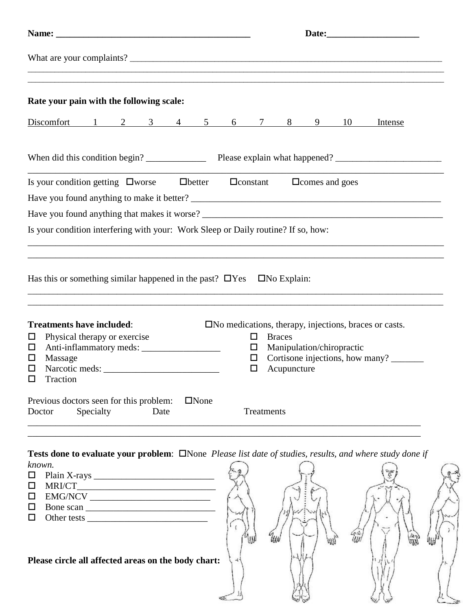| Rate your pain with the following scale:                                                                                                                                                                                                                                                                                                                                                                                                                                                                                | ,我们的人们就会在这里,我们的人们就会在这里,我们的人们就会在这里,我们的人们就会在这里,我们的人们就会在这里,我们的人们就会在这里,我们的人们就会在这里,我们                                                                                                                                                                                                       |  |
|-------------------------------------------------------------------------------------------------------------------------------------------------------------------------------------------------------------------------------------------------------------------------------------------------------------------------------------------------------------------------------------------------------------------------------------------------------------------------------------------------------------------------|----------------------------------------------------------------------------------------------------------------------------------------------------------------------------------------------------------------------------------------------------------------------------------------|--|
|                                                                                                                                                                                                                                                                                                                                                                                                                                                                                                                         | Discomfort 1 2 3 4 5 6 7 8 9 10 Intense                                                                                                                                                                                                                                                |  |
|                                                                                                                                                                                                                                                                                                                                                                                                                                                                                                                         |                                                                                                                                                                                                                                                                                        |  |
| Is your condition getting $\square$ worse $\square$ better $\square$ constant $\square$ comes and goes                                                                                                                                                                                                                                                                                                                                                                                                                  |                                                                                                                                                                                                                                                                                        |  |
| Is your condition interfering with your: Work Sleep or Daily routine? If so, how:                                                                                                                                                                                                                                                                                                                                                                                                                                       |                                                                                                                                                                                                                                                                                        |  |
| Has this or something similar happened in the past? $\Box$ Yes $\Box$ No Explain:<br><b>Treatments have included:</b><br>Physical therapy or exercise<br>$\Box$<br>Ц<br>Massage<br>□<br>$\Box$<br>Traction<br>□                                                                                                                                                                                                                                                                                                         | ,我们也不会有什么。""我们的人,我们也不会有什么?""我们的人,我们也不会有什么?""我们的人,我们也不会有什么?""我们的人,我们也不会有什么?""我们的人<br>$\square$ No medications, therapy, injections, braces or casts.<br><b>Braces</b><br>0<br>Manipulation/chiropractic<br>$\Box$<br>Cortisone injections, how many?<br>$\Box$<br>$\Box$<br>Acupuncture |  |
| Previous doctors seen for this problem:<br>$\Box$ None<br>Specialty<br>Date<br>Doctor                                                                                                                                                                                                                                                                                                                                                                                                                                   | Treatments                                                                                                                                                                                                                                                                             |  |
| known.<br>□<br>□<br>$EMG/NCV$<br>□<br>Bone scan $\frac{1}{\sqrt{1-\frac{1}{2}}\sqrt{1-\frac{1}{2}}\sqrt{1-\frac{1}{2}}\sqrt{1-\frac{1}{2}}\sqrt{1-\frac{1}{2}}\sqrt{1-\frac{1}{2}}\sqrt{1-\frac{1}{2}}\sqrt{1-\frac{1}{2}}\sqrt{1-\frac{1}{2}}\sqrt{1-\frac{1}{2}}\sqrt{1-\frac{1}{2}}\sqrt{1-\frac{1}{2}}\sqrt{1-\frac{1}{2}}\sqrt{1-\frac{1}{2}}\sqrt{1-\frac{1}{2}}\sqrt{1-\frac{1}{2}}\sqrt{1-\frac{1}{2}}\sqrt{1-\frac{1}{2}}\sqrt{1-\frac{$<br>$\Box$<br>□<br>Please circle all affected areas on the body chart: | Tests done to evaluate your problem: $\square$ None Please list date of studies, results, and where study done if                                                                                                                                                                      |  |